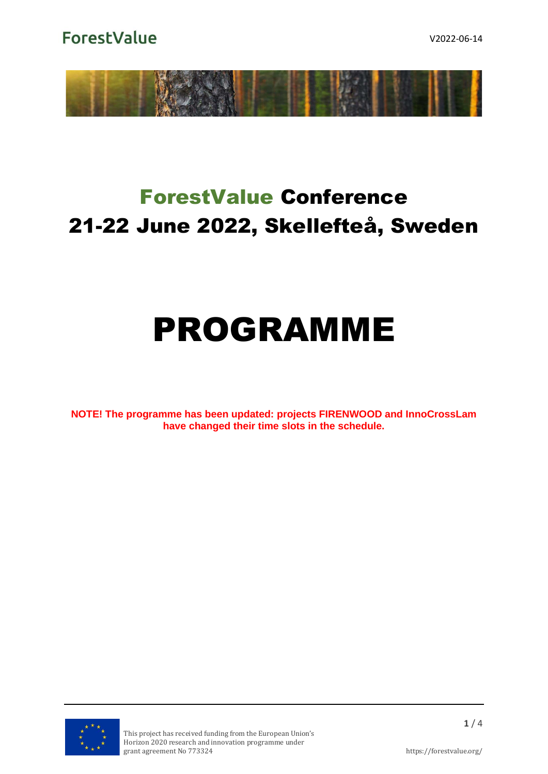**ForestValue** 



# ForestValue Conference 21-22 June 2022, Skellefteå, Sweden

# PROGRAMME

**NOTE! The programme has been updated: projects FIRENWOOD and InnoCrossLam have changed their time slots in the schedule.**

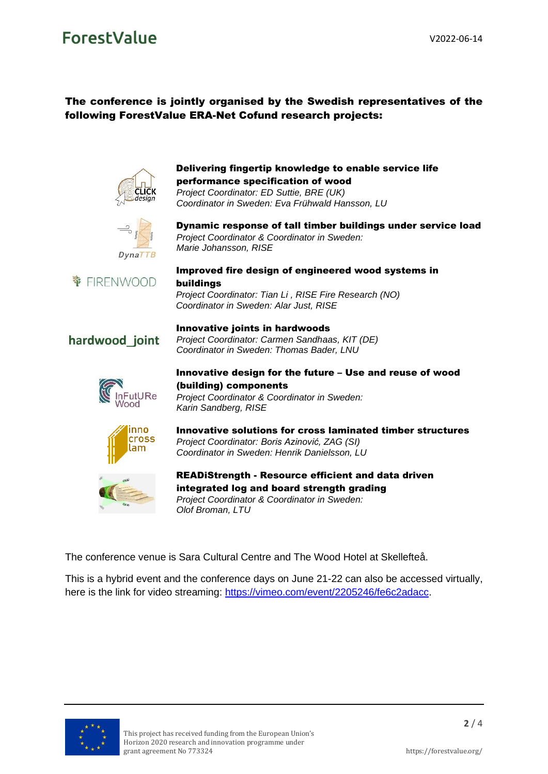# ForestValue

## The conference is jointly organised by the Swedish representatives of the following ForestValue ERA-Net Cofund research projects:



# Delivering fingertip knowledge to enable service life performance specification of wood

*Project Coordinator: ED Suttie, BRE (UK) Coordinator in Sweden: Eva Frühwald Hansson, LU*



Dynamic response of tall timber buildings under service load *Project Coordinator & Coordinator in Sweden: Marie Johansson, RISE*



#### Improved fire design of engineered wood systems in buildings

*Project Coordinator: Tian Li , RISE Fire Research (NO) Coordinator in Sweden: Alar Just, RISE*

*Project Coordinator: Carmen Sandhaas, KIT (DE) Coordinator in Sweden: Thomas Bader, LNU*

# hardwood\_joint



#### Innovative design for the future – Use and reuse of wood (building) components *Project Coordinator & Coordinator in Sweden:*

*Karin Sandberg, RISE*

Innovative joints in hardwoods



#### Innovative solutions for cross laminated timber structures *Project Coordinator: Boris Azinović, ZAG (SI) Coordinator in Sweden: Henrik Danielsson, LU*



READiStrength - Resource efficient and data driven integrated log and board strength grading *Project Coordinator & Coordinator in Sweden: Olof Broman, LTU*

The conference venue is Sara Cultural Centre and The Wood Hotel at Skellefteå.

This is a hybrid event and the conference days on June 21-22 can also be accessed virtually, here is the link for video streaming: [https://vimeo.com/event/2205246/fe6c2adacc.](https://vimeo.com/event/2205246/fe6c2adacc)

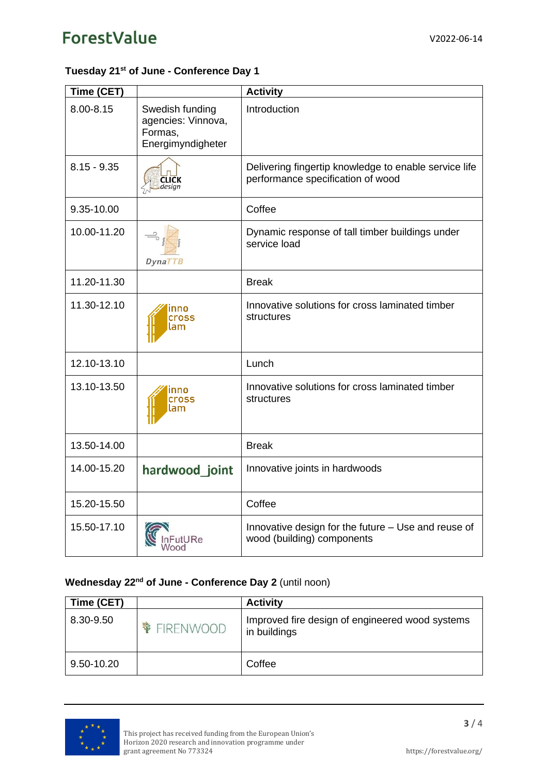# ForestValue

## **Tuesday 21 st of June - Conference Day 1**

| Time (CET)    |                                                                       | <b>Activity</b>                                                                            |
|---------------|-----------------------------------------------------------------------|--------------------------------------------------------------------------------------------|
| 8.00-8.15     | Swedish funding<br>agencies: Vinnova,<br>Formas,<br>Energimyndigheter | Introduction                                                                               |
| $8.15 - 9.35$ | desian                                                                | Delivering fingertip knowledge to enable service life<br>performance specification of wood |
| 9.35-10.00    |                                                                       | Coffee                                                                                     |
| 10.00-11.20   | DynaTTB                                                               | Dynamic response of tall timber buildings under<br>service load                            |
| 11.20-11.30   |                                                                       | <b>Break</b>                                                                               |
| 11.30-12.10   | ınno<br><b>Cross</b><br>lam                                           | Innovative solutions for cross laminated timber<br>structures                              |
| 12.10-13.10   |                                                                       | Lunch                                                                                      |
| 13.10-13.50   | nno<br><b>Cross</b><br>lam                                            | Innovative solutions for cross laminated timber<br>structures                              |
| 13.50-14.00   |                                                                       | <b>Break</b>                                                                               |
| 14.00-15.20   | hardwood joint                                                        | Innovative joints in hardwoods                                                             |
| 15.20-15.50   |                                                                       | Coffee                                                                                     |
| 15.50-17.10   | ood                                                                   | Innovative design for the future - Use and reuse of<br>wood (building) components          |

## **Wednesday 22<sup>nd</sup> of June - Conference Day 2 (until noon)**

| Time (CET) | <b>Activity</b>                                                 |
|------------|-----------------------------------------------------------------|
| 8.30-9.50  | Improved fire design of engineered wood systems<br>in buildings |
| 9.50-10.20 | Coffee                                                          |